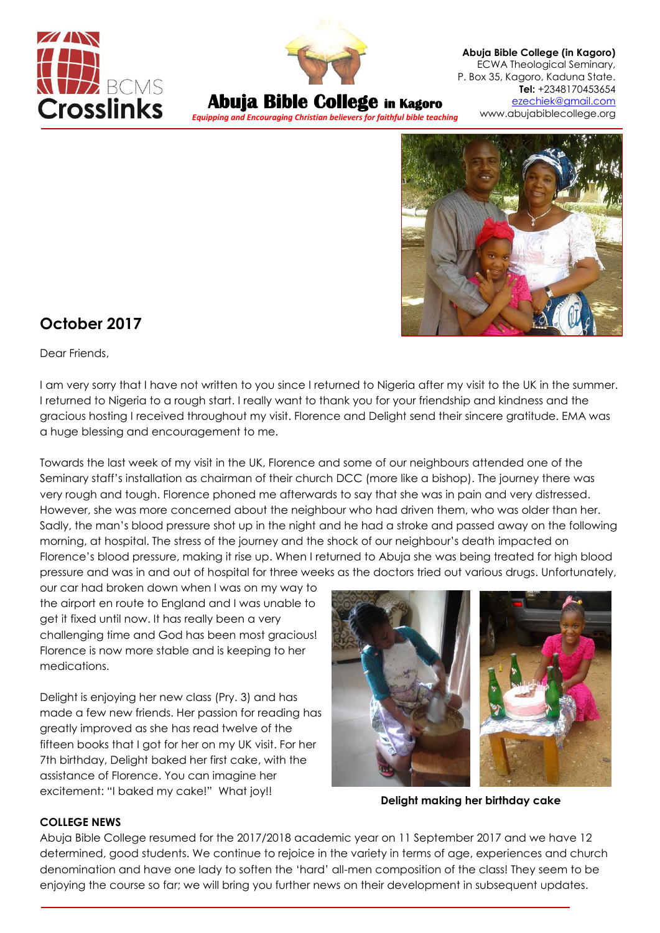



**Abuja Bible College in Kagoro**

*Equipping and Encouraging Christian believers for faithful bible teaching*

**Abuja Bible College (in Kagoro)** ECWA Theological Seminary, P. Box 35, Kagoro, Kaduna State. **Tel:** +2348170453654 [ezechiek@gmail.com](mailto:ezechiek@gmail.com) www.abujabiblecollege.org



# **October 2017**

Dear Friends,

I am very sorry that I have not written to you since I returned to Nigeria after my visit to the UK in the summer. I returned to Nigeria to a rough start. I really want to thank you for your friendship and kindness and the gracious hosting I received throughout my visit. Florence and Delight send their sincere gratitude. EMA was a huge blessing and encouragement to me.

Towards the last week of my visit in the UK, Florence and some of our neighbours attended one of the Seminary staff's installation as chairman of their church DCC (more like a bishop). The journey there was very rough and tough. Florence phoned me afterwards to say that she was in pain and very distressed. However, she was more concerned about the neighbour who had driven them, who was older than her. Sadly, the man's blood pressure shot up in the night and he had a stroke and passed away on the following morning, at hospital. The stress of the journey and the shock of our neighbour's death impacted on Florence's blood pressure, making it rise up. When I returned to Abuja she was being treated for high blood pressure and was in and out of hospital for three weeks as the doctors tried out various drugs. Unfortunately,

our car had broken down when I was on my way to the airport en route to England and I was unable to get it fixed until now. It has really been a very challenging time and God has been most gracious! Florence is now more stable and is keeping to her medications.

Delight is enjoying her new class (Pry. 3) and has made a few new friends. Her passion for reading has greatly improved as she has read twelve of the fifteen books that I got for her on my UK visit. For her 7th birthday, Delight baked her first cake, with the assistance of Florence. You can imagine her excitement: "I baked my cake!" What joy!!



**Delight making her birthday cake**

#### **COLLEGE NEWS**

Abuja Bible College resumed for the 2017/2018 academic year on 11 September 2017 and we have 12 determined, good students. We continue to rejoice in the variety in terms of age, experiences and church denomination and have one lady to soften the 'hard' all-men composition of the class! They seem to be enjoying the course so far; we will bring you further news on their development in subsequent updates.